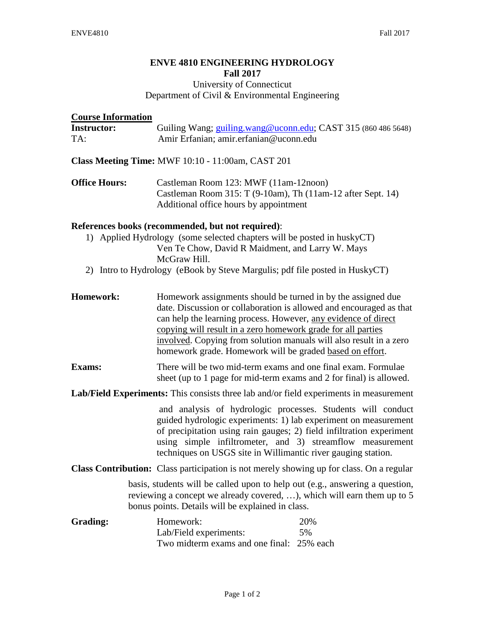## **ENVE 4810 ENGINEERING HYDROLOGY Fall 2017** University of Connecticut

# Department of Civil & Environmental Engineering

| <b>Course Information</b>                                                                                                                                                                                                                                                       |                                                                                                                                                                                                                                                                                                                                                                                                         |
|---------------------------------------------------------------------------------------------------------------------------------------------------------------------------------------------------------------------------------------------------------------------------------|---------------------------------------------------------------------------------------------------------------------------------------------------------------------------------------------------------------------------------------------------------------------------------------------------------------------------------------------------------------------------------------------------------|
| <b>Instructor:</b><br>TA:                                                                                                                                                                                                                                                       | Guiling Wang; guiling.wang@uconn.edu; CAST 315 (860 486 5648)<br>Amir Erfanian; amir.erfanian@uconn.edu                                                                                                                                                                                                                                                                                                 |
| Class Meeting Time: MWF 10:10 - 11:00am, CAST 201                                                                                                                                                                                                                               |                                                                                                                                                                                                                                                                                                                                                                                                         |
| <b>Office Hours:</b>                                                                                                                                                                                                                                                            | Castleman Room 123: MWF (11am-12noon)<br>Castleman Room 315: T (9-10am), Th (11am-12 after Sept. 14)<br>Additional office hours by appointment                                                                                                                                                                                                                                                          |
| References books (recommended, but not required):<br>1) Applied Hydrology (some selected chapters will be posted in huskyCT)<br>Ven Te Chow, David R Maidment, and Larry W. Mays<br>McGraw Hill.<br>2) Intro to Hydrology (eBook by Steve Margulis; pdf file posted in HuskyCT) |                                                                                                                                                                                                                                                                                                                                                                                                         |
| Homework:                                                                                                                                                                                                                                                                       | Homework assignments should be turned in by the assigned due<br>date. Discussion or collaboration is allowed and encouraged as that<br>can help the learning process. However, any evidence of direct<br>copying will result in a zero homework grade for all parties<br>involved. Copying from solution manuals will also result in a zero<br>homework grade. Homework will be graded based on effort. |
| <b>Exams:</b>                                                                                                                                                                                                                                                                   | There will be two mid-term exams and one final exam. Formulae<br>sheet (up to 1 page for mid-term exams and 2 for final) is allowed.                                                                                                                                                                                                                                                                    |
| Lab/Field Experiments: This consists three lab and/or field experiments in measurement                                                                                                                                                                                          |                                                                                                                                                                                                                                                                                                                                                                                                         |
|                                                                                                                                                                                                                                                                                 | and analysis of hydrologic processes. Students will conduct<br>guided hydrologic experiments: 1) lab experiment on measurement<br>of precipitation using rain gauges; 2) field infiltration experiment<br>using simple infiltrometer, and 3) streamflow measurement<br>techniques on USGS site in Willimantic river gauging station.                                                                    |
|                                                                                                                                                                                                                                                                                 | Class Contribution: Class participation is not merely showing up for class. On a regular                                                                                                                                                                                                                                                                                                                |
|                                                                                                                                                                                                                                                                                 | basis, students will be called upon to help out (e.g., answering a question,<br>reviewing a concept we already covered, ), which will earn them up to 5<br>bonus points. Details will be explained in class.                                                                                                                                                                                            |
| Grading:                                                                                                                                                                                                                                                                        | Homework:<br>20%<br>Lab/Field experiments:<br>5%<br>Two midterm exams and one final: 25% each                                                                                                                                                                                                                                                                                                           |